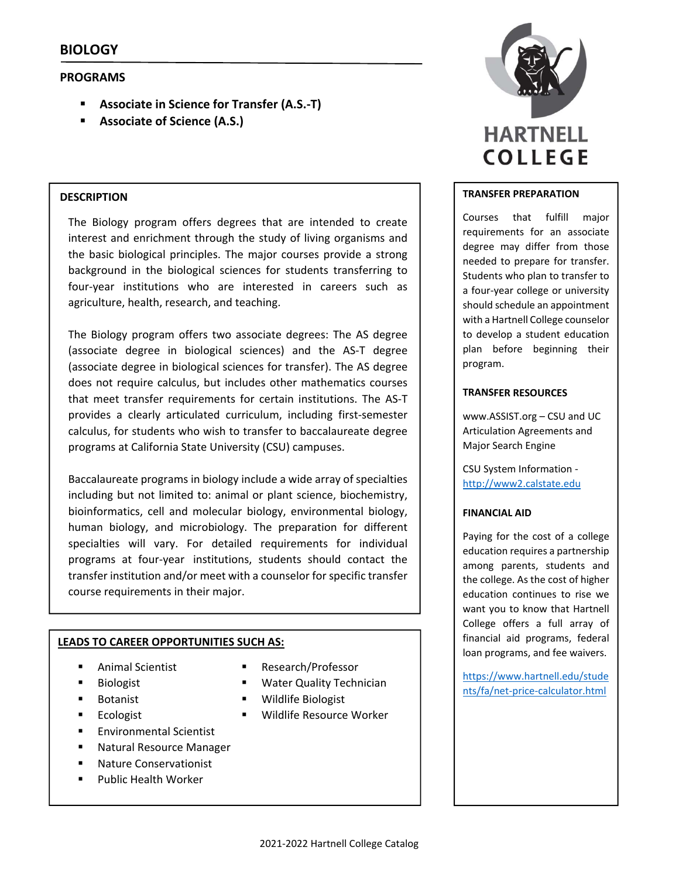# **PROGRAMS**

- **Associate in Science for Transfer (A.S.‐T)**
- **Associate of Science (A.S.)**

### **DESCRIPTION**

The Biology program offers degrees that are intended to create interest and enrichment through the study of living organisms and the basic biological principles. The major courses provide a strong background in the biological sciences for students transferring to four‐year institutions who are interested in careers such as agriculture, health, research, and teaching.

The Biology program offers two associate degrees: The AS degree (associate degree in biological sciences) and the AS‐T degree (associate degree in biological sciences for transfer). The AS degree does not require calculus, but includes other mathematics courses that meet transfer requirements for certain institutions. The AS‐T provides a clearly articulated curriculum, including first‐semester calculus, for students who wish to transfer to baccalaureate degree programs at California State University (CSU) campuses.

Baccalaureate programs in biology include a wide array of specialties including but not limited to: animal or plant science, biochemistry, bioinformatics, cell and molecular biology, environmental biology, human biology, and microbiology. The preparation for different specialties will vary. For detailed requirements for individual programs at four‐year institutions, students should contact the transfer institution and/or meet with a counselor for specific transfer course requirements in their major.

## **LEADS TO CAREER OPPORTUNITIES SUCH AS:**

- **E** Animal Scientist
- Biologist
- **Botanist**
- Ecologist
- **Environmental Scientist**
- Natural Resource Manager
- **Nature Conservationist**
- Public Health Worker
- Research/Professor
- **Water Quality Technician**
- **Wildlife Biologist**
- **Wildlife Resource Worker**



### **TRANSFER PREPARATION**

Courses that fulfill major requirements for an associate degree may differ from those needed to prepare for transfer. Students who plan to transfer to a four‐year college or university should schedule an appointment with a Hartnell College counselor to develop a student education plan before beginning their program.

### **TRANSFER RESOURCES**

www.ASSIST.org – CSU and UC Articulation Agreements and Major Search Engine

CSU System Information ‐ http://www2.calstate.edu

## **FINANCIAL AID**

Paying for the cost of a college education requires a partnership among parents, students and the college. As the cost of higher education continues to rise we want you to know that Hartnell College offers a full array of financial aid programs, federal loan programs, and fee waivers.

https://www.hartnell.edu/stude nts/fa/net‐price‐calculator.html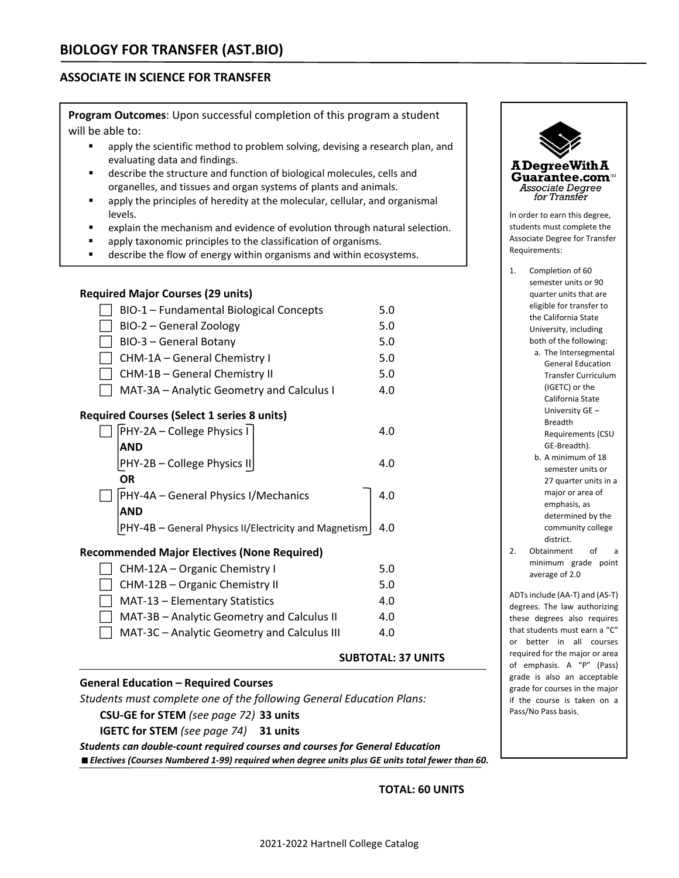# **ASSOCIATE IN SCIENCE FOR TRANSFER**

**Program Outcomes**: Upon successful completion of this program a student will be able to:

- apply the scientific method to problem solving, devising a research plan, and evaluating data and findings.
- describe the structure and function of biological molecules, cells and organelles, and tissues and organ systems of plants and animals.
- apply the principles of heredity at the molecular, cellular, and organismal levels.
- explain the mechanism and evidence of evolution through natural selection.
- **a** apply taxonomic principles to the classification of organisms.
- **describe the flow of energy within organisms and within ecosystems.**

# **Required Major Courses (29 units)**

| BIO-1 - Fundamental Biological Concepts               | 5.0 |  |  |  |
|-------------------------------------------------------|-----|--|--|--|
| BIO-2 – General Zoology                               | 5.0 |  |  |  |
| BIO-3 - General Botany                                | 5.0 |  |  |  |
| CHM-1A - General Chemistry I                          | 5.0 |  |  |  |
| CHM-1B – General Chemistry II                         | 5.0 |  |  |  |
| MAT-3A - Analytic Geometry and Calculus I             | 4.0 |  |  |  |
| <b>Required Courses (Select 1 series 8 units)</b>     |     |  |  |  |
| PHY-2A – College Physics I                            | 4.0 |  |  |  |
| AND                                                   |     |  |  |  |
| PHY-2B - College Physics II                           | 4.0 |  |  |  |
| <b>OR</b>                                             |     |  |  |  |
| PHY-4A - General Physics I/Mechanics                  | 4.0 |  |  |  |
| AND                                                   |     |  |  |  |
| PHY-4B - General Physics II/Electricity and Magnetism | 4.0 |  |  |  |

## **Recommended Major Electives (None Required)**

| $\Box$ CHM-12A – Organic Chemistry I               | 5.0 |
|----------------------------------------------------|-----|
| $\Box$ CHM-12B – Organic Chemistry II              | 5.0 |
| $\Box$ MAT-13 – Elementary Statistics              | 4.0 |
| $\Box$ MAT-3B – Analytic Geometry and Calculus II  | 4.0 |
| $\Box$ MAT-3C – Analytic Geometry and Calculus III | 4.0 |
|                                                    |     |

# **General Education – Required Courses**

*Students must complete one of the following General Education Plans:*

## **CSU‐GE for STEM** *(see page 72)* **33 units**

**IGETC for STEM** *(see page 74)* **31 units**

*Students can double‐count required courses and courses for General Education Electives (Courses Numbered 1‐99) required when degree units plus GE units total fewer than 60.* **ADegreeWith A** Guarantee.com<sup>™</sup> **Associate Degree** for Transfer

In order to earn this degree, students must complete the Associate Degree for Transfer Requirements:

- 1. Completion of 60 semester units or 90 quarter units that are eligible for transfer to the California State University, including both of the following:
	- a. The Intersegmental General Education Transfer Curriculum (IGETC) or the California State University GE – Breadth Requirements (CSU GE‐Breadth).
	- b. A minimum of 18 semester units or 27 quarter units in a major or area of emphasis, as determined by the community college district.
- 2. Obtainment of a minimum grade point average of 2.0

ADTsinclude (AA‐T) and (AS‐T) degrees. The law authorizing these degrees also requires that students must earn a "C" or better in all courses required for the major or area of emphasis. A "P" (Pass) grade is also an acceptable grade for courses in the major if the course is taken on a Pass/No Pass basis.

**TOTAL: 60 UNITS**

**SUBTOTAL: 37 UNITS**